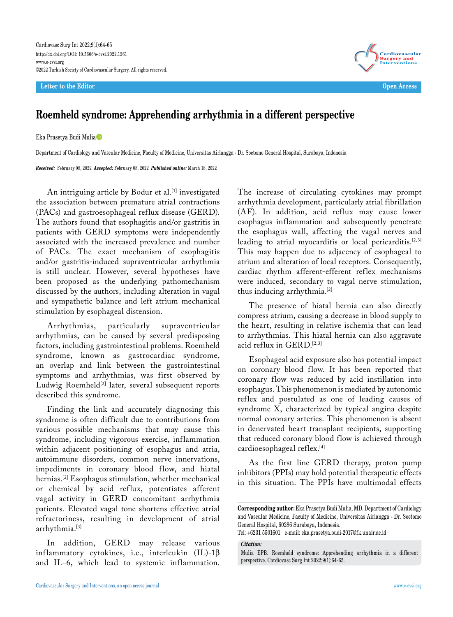**Letter to the Editor Open Access**



## **Roemheld syndrome: Apprehending arrhythmia in a different perspective**

Eka Prasetya Budi Mulia

Department of Cardiology and Vascular Medicine, Faculty of Medicine, Universitas Airlangga - Dr. Soetomo General Hospital, Surabaya, Indonesia

*Received:* February 08, 2022 *Accepted:* February 08, 2022 *Published online:* March 18, 2022

An intriguing article by Bodur et al.<sup>[1]</sup> investigated the association between premature atrial contractions (PACs) and gastroesophageal reflux disease (GERD). The authors found that esophagitis and/or gastritis in patients with GERD symptoms were independently associated with the increased prevalence and number of PACs. The exact mechanism of esophagitis and/or gastritis-induced supraventricular arrhythmia is still unclear. However, several hypotheses have been proposed as the underlying pathomechanism discussed by the authors, including alteration in vagal and sympathetic balance and left atrium mechanical stimulation by esophageal distension.

Arrhythmias, particularly supraventricular arrhythmias, can be caused by several predisposing factors, including gastrointestinal problems. Roemheld syndrome, known as gastrocardiac syndrome, an overlap and link between the gastrointestinal symptoms and arrhythmias, was first observed by Ludwig Roemheld<sup>[2]</sup> later, several subsequent reports described this syndrome.

Finding the link and accurately diagnosing this syndrome is often difficult due to contributions from various possible mechanisms that may cause this syndrome, including vigorous exercise, inflammation within adjacent positioning of esophagus and atria, autoimmune disorders, common nerve innervations, impediments in coronary blood flow, and hiatal hernias.[2] Esophagus stimulation, whether mechanical or chemical by acid reflux, potentiates afferent vagal activity in GERD concomitant arrhythmia patients. Elevated vagal tone shortens effective atrial refractoriness, resulting in development of atrial arrhythmia.[3]

In addition, GERD may release various inflammatory cytokines, i.e., interleukin  $(IL)$ -1 $\beta$ and IL-6, which lead to systemic inflammation.

The increase of circulating cytokines may prompt arrhythmia development, particularly atrial fibrillation (AF). In addition, acid reflux may cause lower esophagus inflammation and subsequently penetrate the esophagus wall, affecting the vagal nerves and leading to atrial myocarditis or local pericarditis.[2,3] This may happen due to adjacency of esophageal to atrium and alteration of local receptors. Consequently, cardiac rhythm afferent-efferent reflex mechanisms were induced, secondary to vagal nerve stimulation, thus inducing arrhythmia.[2]

The presence of hiatal hernia can also directly compress atrium, causing a decrease in blood supply to the heart, resulting in relative ischemia that can lead to arrhythmias. This hiatal hernia can also aggravate acid reflux in GERD.[2,3]

Esophageal acid exposure also has potential impact on coronary blood flow. It has been reported that coronary flow was reduced by acid instillation into esophagus. This phenomenon is mediated by autonomic reflex and postulated as one of leading causes of syndrome X, characterized by typical angina despite normal coronary arteries. This phenomenon is absent in denervated heart transplant recipients, supporting that reduced coronary blood flow is achieved through cardioesophageal reflex.[4]

As the first line GERD therapy, proton pump inhibitors (PPIs) may hold potential therapeutic effects in this situation. The PPIs have multimodal effects

Tel: +6231 5501601 e-mail: eka.prasetya.budi-2017@fk.unair.ac.id

*Citation:*

**Corresponding author:** Eka Prasetya Budi Mulia, MD. Department of Cardiology and Vascular Medicine, Faculty of Medicine, Universitas Airlangga - Dr. Soetomo General Hospital, 60286 Surabaya, Indonesia.

Mulia EPB. Roemheld syndrome: Apprehending arrhythmia in a different perspective. Cardiovasc Surg Int 2022;9(1):64-65.